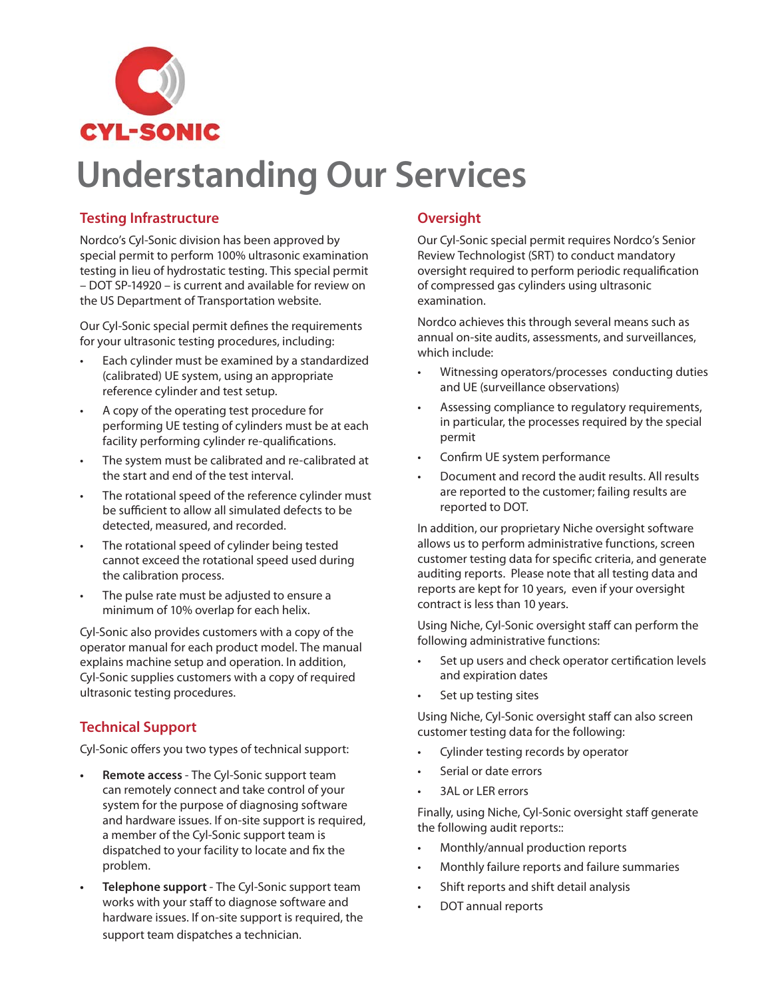

# **Understanding Our Services**

#### **Testing Infrastructure**

Nordco's Cyl-Sonic division has been approved by special permit to perform 100% ultrasonic examination testing in lieu of hydrostatic testing. This special permit – DOT SP-14920 – is current and available for review on the US Department of Transportation website.

Our Cyl-Sonic special permit defines the requirements for your ultrasonic testing procedures, including:

- Each cylinder must be examined by a standardized (calibrated) UE system, using an appropriate reference cylinder and test setup.
- A copy of the operating test procedure for performing UE testing of cylinders must be at each facility performing cylinder re-qualifications.
- The system must be calibrated and re-calibrated at the start and end of the test interval.
- The rotational speed of the reference cylinder must be sufficient to allow all simulated defects to be detected, measured, and recorded.
- The rotational speed of cylinder being tested cannot exceed the rotational speed used during the calibration process.
- The pulse rate must be adjusted to ensure a minimum of 10% overlap for each helix.

Cyl-Sonic also provides customers with a copy of the operator manual for each product model. The manual explains machine setup and operation. In addition, Cyl-Sonic supplies customers with a copy of required ultrasonic testing procedures.

## **Technical Support**

Cyl-Sonic offers you two types of technical support:

- **Remote access** The Cyl-Sonic support team can remotely connect and take control of your system for the purpose of diagnosing software and hardware issues. If on-site support is required, a member of the Cyl-Sonic support team is dispatched to your facility to locate and fix the problem.
- **Telephone support** The Cyl-Sonic support team works with your staff to diagnose software and hardware issues. If on-site support is required, the support team dispatches a technician.

### **Oversight**

Our Cyl-Sonic special permit requires Nordco's Senior Review Technologist (SRT) to conduct mandatory oversight required to perform periodic requalification of compressed gas cylinders using ultrasonic examination.

Nordco achieves this through several means such as annual on-site audits, assessments, and surveillances, which include:

- Witnessing operators/processes conducting duties and UE (surveillance observations)
- Assessing compliance to regulatory requirements, in particular, the processes required by the special permit
- Confirm UE system performance
- Document and record the audit results. All results are reported to the customer; failing results are reported to DOT.

In addition, our proprietary Niche oversight software allows us to perform administrative functions, screen customer testing data for specific criteria, and generate auditing reports. Please note that all testing data and reports are kept for 10 years, even if your oversight contract is less than 10 years.

Using Niche, Cyl-Sonic oversight staff can perform the following administrative functions:

- Set up users and check operator certification levels and expiration dates
- Set up testing sites

Using Niche, Cyl-Sonic oversight staff can also screen customer testing data for the following:

- Cylinder testing records by operator
- Serial or date errors
- 3AL or LER errors

Finally, using Niche, Cyl-Sonic oversight staff generate the following audit reports::

- Monthly/annual production reports
- Monthly failure reports and failure summaries
- Shift reports and shift detail analysis
- DOT annual reports